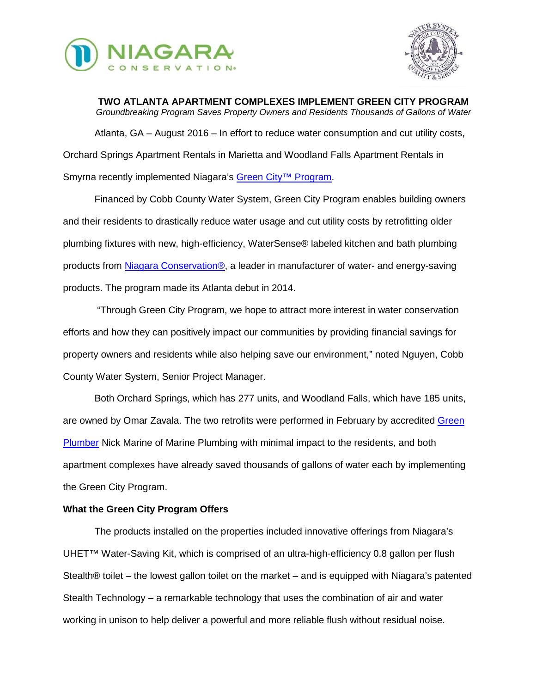



**TWO ATLANTA APARTMENT COMPLEXES IMPLEMENT GREEN CITY PROGRAM** *Groundbreaking Program Saves Property Owners and Residents Thousands of Gallons of Water* Atlanta, GA – August 2016 – In effort to reduce water consumption and cut utility costs, Orchard Springs Apartment Rentals in Marietta and Woodland Falls Apartment Rentals in Smyrna recently implemented Niagara's Green City<sup>™</sup> Program.

Financed by Cobb County Water System, Green City Program enables building owners and their residents to drastically reduce water usage and cut utility costs by retrofitting older plumbing fixtures with new, high-efficiency, WaterSense® labeled kitchen and bath plumbing products from [Niagara Conservation®,](http://www.niagaracorp.com/) a leader in manufacturer of water- and energy-saving products. The program made its Atlanta debut in 2014.

"Through Green City Program, we hope to attract more interest in water conservation efforts and how they can positively impact our communities by providing financial savings for property owners and residents while also helping save our environment," noted Nguyen, Cobb County Water System, Senior Project Manager.

Both Orchard Springs, which has 277 units, and Woodland Falls, which have 185 units, are owned by Omar Zavala. The two retrofits were performed in February by accredited [Green](http://greenplumbersusa.com/)  [Plumber](http://greenplumbersusa.com/) Nick Marine of Marine Plumbing with minimal impact to the residents, and both apartment complexes have already saved thousands of gallons of water each by implementing the Green City Program.

## **What the Green City Program Offers**

The products installed on the properties included innovative offerings from Niagara's UHET™ Water-Saving Kit, which is comprised of an ultra-high-efficiency 0.8 gallon per flush Stealth® toilet – the lowest gallon toilet on the market – and is equipped with Niagara's patented Stealth Technology – a remarkable technology that uses the combination of air and water working in unison to help deliver a powerful and more reliable flush without residual noise.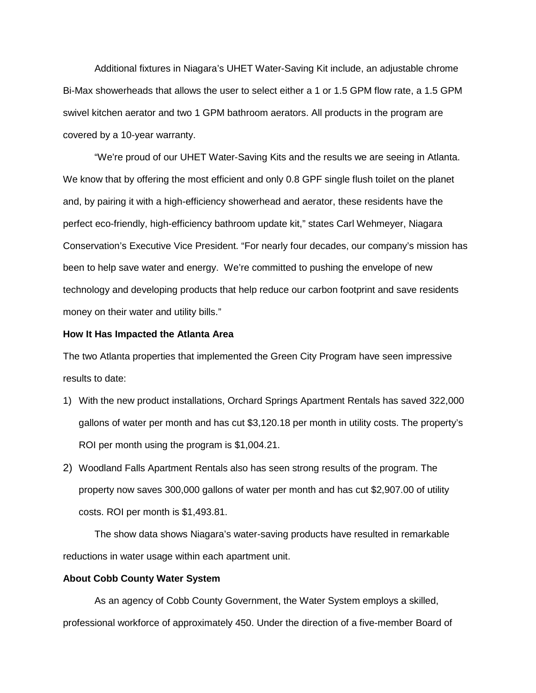Additional fixtures in Niagara's UHET Water-Saving Kit include, an adjustable chrome Bi-Max showerheads that allows the user to select either a 1 or 1.5 GPM flow rate, a 1.5 GPM swivel kitchen aerator and two 1 GPM bathroom aerators. All products in the program are covered by a 10-year warranty.

"We're proud of our UHET Water-Saving Kits and the results we are seeing in Atlanta. We know that by offering the most efficient and only 0.8 GPF single flush toilet on the planet and, by pairing it with a high-efficiency showerhead and aerator, these residents have the perfect eco-friendly, high-efficiency bathroom update kit," states Carl Wehmeyer, Niagara Conservation's Executive Vice President. "For nearly four decades, our company's mission has been to help save water and energy. We're committed to pushing the envelope of new technology and developing products that help reduce our carbon footprint and save residents money on their water and utility bills."

## **How It Has Impacted the Atlanta Area**

The two Atlanta properties that implemented the Green City Program have seen impressive results to date:

- 1) With the new product installations, Orchard Springs Apartment Rentals has saved 322,000 gallons of water per month and has cut \$3,120.18 per month in utility costs. The property's ROI per month using the program is \$1,004.21.
- 2) Woodland Falls Apartment Rentals also has seen strong results of the program. The property now saves 300,000 gallons of water per month and has cut \$2,907.00 of utility costs. ROI per month is \$1,493.81.

The show data shows Niagara's water-saving products have resulted in remarkable reductions in water usage within each apartment unit.

## **About Cobb County Water System**

As an agency of Cobb County Government, the Water System employs a skilled, professional workforce of approximately 450. Under the direction of a five-member Board of